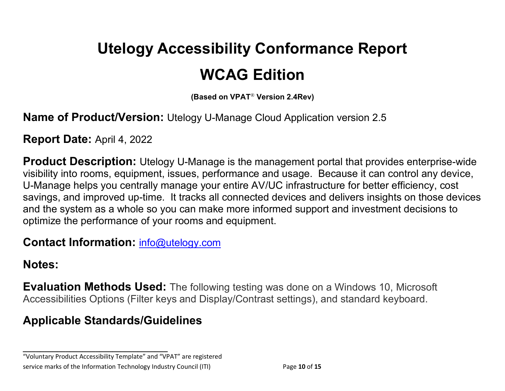# **Utelogy Accessibility Conformance Report WCAG Edition**

**(Based on VPAT**® **Version 2.4Rev)**

**Name of Product/Version:** Utelogy U-Manage Cloud Application version 2.5

**Report Date:** April 4, 2022

**Product Description:** Utelogy U-Manage is the management portal that provides enterprise-wide visibility into rooms, equipment, issues, performance and usage. Because it can control any device, U-Manage helps you centrally manage your entire AV/UC infrastructure for better efficiency, cost savings, and improved up-time. It tracks all connected devices and delivers insights on those devices and the system as a whole so you can make more informed support and investment decisions to optimize the performance of your rooms and equipment.

**Contact Information:** [info@utelogy.com](mailto:info@utelogy.com)

#### **Notes:**

**Evaluation Methods Used:** The following testing was done on a Windows 10, Microsoft Accessibilities Options (Filter keys and Display/Contrast settings), and standard keyboard.

## **Applicable Standards/Guidelines**

**\_\_\_\_\_\_\_\_\_\_\_\_\_\_\_\_\_\_\_\_\_\_\_\_\_\_\_\_\_\_\_\_\_\_**

"Voluntary Product Accessibility Template" and "VPAT" are registered service marks of the Information Technology Industry Council (ITI) Page **10** of **15**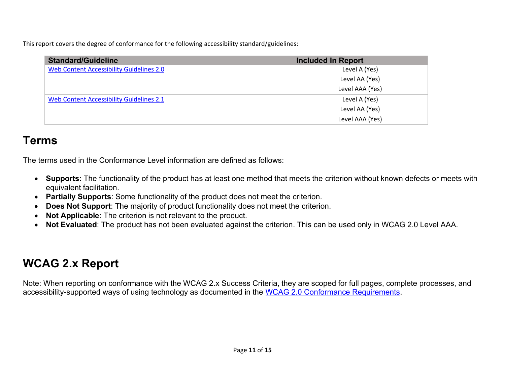This report covers the degree of conformance for the following accessibility standard/guidelines:

| <b>Standard/Guideline</b>                | <b>Included In Report</b> |
|------------------------------------------|---------------------------|
| Web Content Accessibility Guidelines 2.0 | Level A (Yes)             |
|                                          | Level AA (Yes)            |
|                                          | Level AAA (Yes)           |
| Web Content Accessibility Guidelines 2.1 | Level A (Yes)             |
|                                          | Level AA (Yes)            |
|                                          | Level AAA (Yes)           |

## **Terms**

The terms used in the Conformance Level information are defined as follows:

- **Supports**: The functionality of the product has at least one method that meets the criterion without known defects or meets with equivalent facilitation.
- **Partially Supports**: Some functionality of the product does not meet the criterion.
- **Does Not Support**: The majority of product functionality does not meet the criterion.
- **Not Applicable**: The criterion is not relevant to the product.
- **Not Evaluated**: The product has not been evaluated against the criterion. This can be used only in WCAG 2.0 Level AAA.

## **WCAG 2.x Report**

Note: When reporting on conformance with the WCAG 2.x Success Criteria, they are scoped for full pages, complete processes, and accessibility-supported ways of using technology as documented in the [WCAG 2.0 Conformance Requirements.](https://www.w3.org/TR/WCAG20/#conformance-reqs)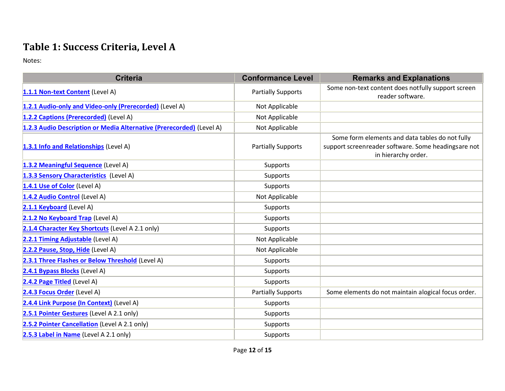### **Table 1: Success Criteria, Level A**

Notes:

| <b>Criteria</b>                                                      | <b>Conformance Level</b>  | <b>Remarks and Explanations</b>                                                                                               |
|----------------------------------------------------------------------|---------------------------|-------------------------------------------------------------------------------------------------------------------------------|
| 1.1.1 Non-text Content (Level A)                                     | <b>Partially Supports</b> | Some non-text content does notfully support screen<br>reader software.                                                        |
| 1.2.1 Audio-only and Video-only (Prerecorded) (Level A)              | Not Applicable            |                                                                                                                               |
| 1.2.2 Captions (Prerecorded) (Level A)                               | Not Applicable            |                                                                                                                               |
| 1.2.3 Audio Description or Media Alternative (Prerecorded) (Level A) | Not Applicable            |                                                                                                                               |
| 1.3.1 Info and Relationships (Level A)                               | <b>Partially Supports</b> | Some form elements and data tables do not fully<br>support screenreader software. Some headingsare not<br>in hierarchy order. |
| 1.3.2 Meaningful Sequence (Level A)                                  | Supports                  |                                                                                                                               |
| 1.3.3 Sensory Characteristics (Level A)                              | Supports                  |                                                                                                                               |
| 1.4.1 Use of Color (Level A)                                         | Supports                  |                                                                                                                               |
| 1.4.2 Audio Control (Level A)                                        | Not Applicable            |                                                                                                                               |
| 2.1.1 Keyboard (Level A)                                             | Supports                  |                                                                                                                               |
| 2.1.2 No Keyboard Trap (Level A)                                     | Supports                  |                                                                                                                               |
| 2.1.4 Character Key Shortcuts (Level A 2.1 only)                     | Supports                  |                                                                                                                               |
| 2.2.1 Timing Adjustable (Level A)                                    | Not Applicable            |                                                                                                                               |
| 2.2.2 Pause, Stop, Hide (Level A)                                    | Not Applicable            |                                                                                                                               |
| 2.3.1 Three Flashes or Below Threshold (Level A)                     | Supports                  |                                                                                                                               |
| 2.4.1 Bypass Blocks (Level A)                                        | Supports                  |                                                                                                                               |
| 2.4.2 Page Titled (Level A)                                          | Supports                  |                                                                                                                               |
| 2.4.3 Focus Order (Level A)                                          | <b>Partially Supports</b> | Some elements do not maintain alogical focus order.                                                                           |
| 2.4.4 Link Purpose (In Context) (Level A)                            | Supports                  |                                                                                                                               |
| 2.5.1 Pointer Gestures (Level A 2.1 only)                            | Supports                  |                                                                                                                               |
| 2.5.2 Pointer Cancellation (Level A 2.1 only)                        | Supports                  |                                                                                                                               |
| 2.5.3 Label in Name (Level A 2.1 only)                               | Supports                  |                                                                                                                               |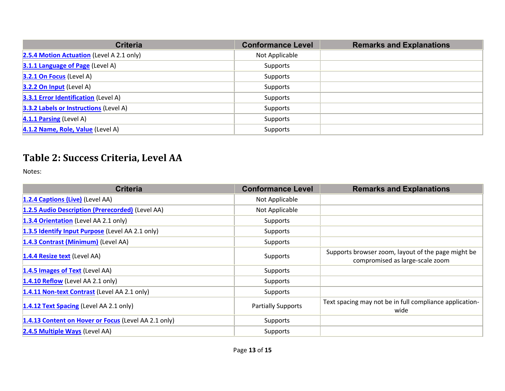| <b>Criteria</b>                             | <b>Conformance Level</b> | <b>Remarks and Explanations</b> |
|---------------------------------------------|--------------------------|---------------------------------|
| 2.5.4 Motion Actuation (Level A 2.1 only)   | Not Applicable           |                                 |
| 3.1.1 Language of Page (Level A)            | Supports                 |                                 |
| 3.2.1 On Focus (Level A)                    | Supports                 |                                 |
| 3.2.2 On Input (Level A)                    | Supports                 |                                 |
| <b>3.3.1 Error Identification</b> (Level A) | Supports                 |                                 |
| 3.3.2 Labels or Instructions (Level A)      | Supports                 |                                 |
| 4.1.1 Parsing (Level A)                     | Supports                 |                                 |
| 4.1.2 Name, Role, Value (Level A)           | Supports                 |                                 |

### **Table 2: Success Criteria, Level AA**

Notes:

| <b>Criteria</b>                                      | <b>Conformance Level</b>  | <b>Remarks and Explanations</b>                                                       |
|------------------------------------------------------|---------------------------|---------------------------------------------------------------------------------------|
| 1.2.4 Captions (Live) (Level AA)                     | Not Applicable            |                                                                                       |
| 1.2.5 Audio Description (Prerecorded) (Level AA)     | Not Applicable            |                                                                                       |
| 1.3.4 Orientation (Level AA 2.1 only)                | Supports                  |                                                                                       |
| 1.3.5 Identify Input Purpose (Level AA 2.1 only)     | Supports                  |                                                                                       |
| 1.4.3 Contrast (Minimum) (Level AA)                  | Supports                  |                                                                                       |
| 1.4.4 Resize text (Level AA)                         | Supports                  | Supports browser zoom, layout of the page might be<br>compromised as large-scale zoom |
| 1.4.5 Images of Text (Level AA)                      | Supports                  |                                                                                       |
| 1.4.10 Reflow (Level AA 2.1 only)                    | Supports                  |                                                                                       |
| 1.4.11 Non-text Contrast (Level AA 2.1 only)         | Supports                  |                                                                                       |
| 1.4.12 Text Spacing (Level AA 2.1 only)              | <b>Partially Supports</b> | Text spacing may not be in full compliance application-<br>wide                       |
| 1.4.13 Content on Hover or Focus (Level AA 2.1 only) | Supports                  |                                                                                       |
| 2.4.5 Multiple Ways (Level AA)                       | Supports                  |                                                                                       |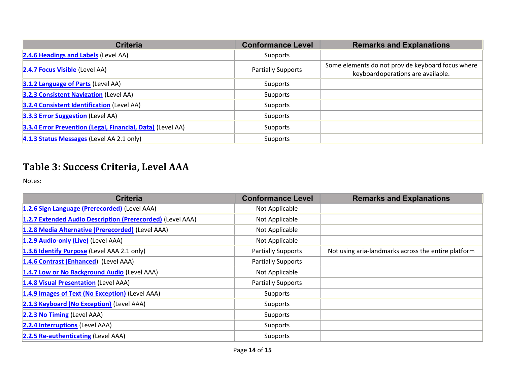| <b>Criteria</b>                                            | <b>Conformance Level</b>  | <b>Remarks and Explanations</b>                                                        |
|------------------------------------------------------------|---------------------------|----------------------------------------------------------------------------------------|
| 2.4.6 Headings and Labels (Level AA)                       | Supports                  |                                                                                        |
| 2.4.7 Focus Visible (Level AA)                             | <b>Partially Supports</b> | Some elements do not provide keyboard focus where<br>keyboardoperations are available. |
| <b>3.1.2 Language of Parts (Level AA)</b>                  | Supports                  |                                                                                        |
| <b>3.2.3 Consistent Navigation (Level AA)</b>              | Supports                  |                                                                                        |
| <b>3.2.4 Consistent Identification (Level AA)</b>          | Supports                  |                                                                                        |
| <b>3.3.3 Error Suggestion</b> (Level AA)                   | Supports                  |                                                                                        |
| 3.3.4 Error Prevention (Legal, Financial, Data) (Level AA) | Supports                  |                                                                                        |
| 4.1.3 Status Messages (Level AA 2.1 only)                  | Supports                  |                                                                                        |

### **Table 3: Success Criteria, Level AAA**

Notes:

| <b>Criteria</b>                                            | <b>Conformance Level</b>  | <b>Remarks and Explanations</b>                     |
|------------------------------------------------------------|---------------------------|-----------------------------------------------------|
| 1.2.6 Sign Language (Prerecorded) (Level AAA)              | Not Applicable            |                                                     |
| 1.2.7 Extended Audio Description (Prerecorded) (Level AAA) | Not Applicable            |                                                     |
| 1.2.8 Media Alternative (Prerecorded) (Level AAA)          | Not Applicable            |                                                     |
| 1.2.9 Audio-only (Live) (Level AAA)                        | Not Applicable            |                                                     |
| 1.3.6 Identify Purpose (Level AAA 2.1 only)                | <b>Partially Supports</b> | Not using aria-landmarks across the entire platform |
| 1.4.6 Contrast (Enhanced) (Level AAA)                      | <b>Partially Supports</b> |                                                     |
| 1.4.7 Low or No Background Audio (Level AAA)               | Not Applicable            |                                                     |
| 1.4.8 Visual Presentation (Level AAA)                      | <b>Partially Supports</b> |                                                     |
| 1.4.9 Images of Text (No Exception) (Level AAA)            | Supports                  |                                                     |
| 2.1.3 Keyboard (No Exception) (Level AAA)                  | Supports                  |                                                     |
| 2.2.3 No Timing (Level AAA)                                | Supports                  |                                                     |
| 2.2.4 Interruptions (Level AAA)                            | Supports                  |                                                     |
| 2.2.5 Re-authenticating (Level AAA)                        | Supports                  |                                                     |